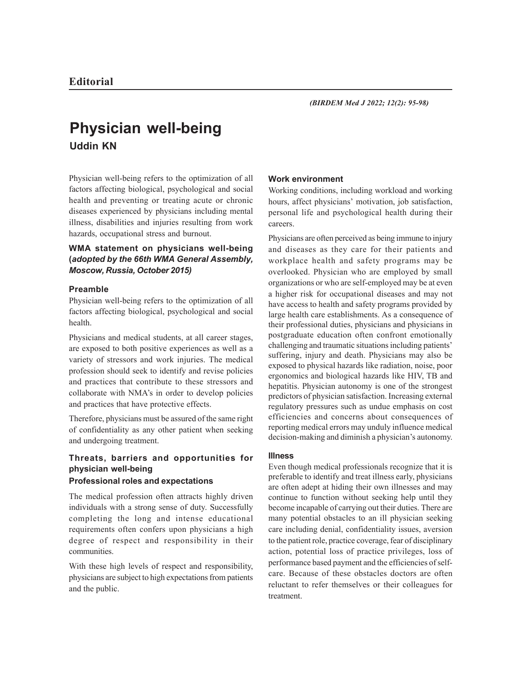# **Physician well-being Uddin KN**

Physician well-being refers to the optimization of all factors affecting biological, psychological and social health and preventing or treating acute or chronic diseases experienced by physicians including mental illness, disabilities and injuries resulting from work hazards, occupational stress and burnout.

# **WMA statement on physicians well-being (***adopted by the 66th WMA General Assembly, Moscow, Russia, October 2015)*

#### **Preamble**

Physician well-being refers to the optimization of all factors affecting biological, psychological and social health.

Physicians and medical students, at all career stages, are exposed to both positive experiences as well as a variety of stressors and work injuries. The medical profession should seek to identify and revise policies and practices that contribute to these stressors and collaborate with NMA's in order to develop policies and practices that have protective effects.

Therefore, physicians must be assured of the same right of confidentiality as any other patient when seeking and undergoing treatment.

# **Threats, barriers and opportunities for physician well-being**

## **Professional roles and expectations**

The medical profession often attracts highly driven individuals with a strong sense of duty. Successfully completing the long and intense educational requirements often confers upon physicians a high degree of respect and responsibility in their communities.

With these high levels of respect and responsibility, physicians are subject to high expectations from patients and the public.

## **Work environment**

Working conditions, including workload and working hours, affect physicians' motivation, job satisfaction, personal life and psychological health during their careers.

Physicians are often perceived as being immune to injury and diseases as they care for their patients and workplace health and safety programs may be overlooked. Physician who are employed by small organizations or who are self-employed may be at even a higher risk for occupational diseases and may not have access to health and safety programs provided by large health care establishments. As a consequence of their professional duties, physicians and physicians in postgraduate education often confront emotionally challenging and traumatic situations including patients' suffering, injury and death. Physicians may also be exposed to physical hazards like radiation, noise, poor ergonomics and biological hazards like HIV, TB and hepatitis. Physician autonomy is one of the strongest predictors of physician satisfaction. Increasing external regulatory pressures such as undue emphasis on cost efficiencies and concerns about consequences of reporting medical errors may unduly influence medical decision-making and diminish a physician's autonomy.

#### **Illness**

Even though medical professionals recognize that it is preferable to identify and treat illness early, physicians are often adept at hiding their own illnesses and may continue to function without seeking help until they become incapable of carrying out their duties. There are many potential obstacles to an ill physician seeking care including denial, confidentiality issues, aversion to the patient role, practice coverage, fear of disciplinary action, potential loss of practice privileges, loss of performance based payment and the efficiencies of selfcare. Because of these obstacles doctors are often reluctant to refer themselves or their colleagues for treatment.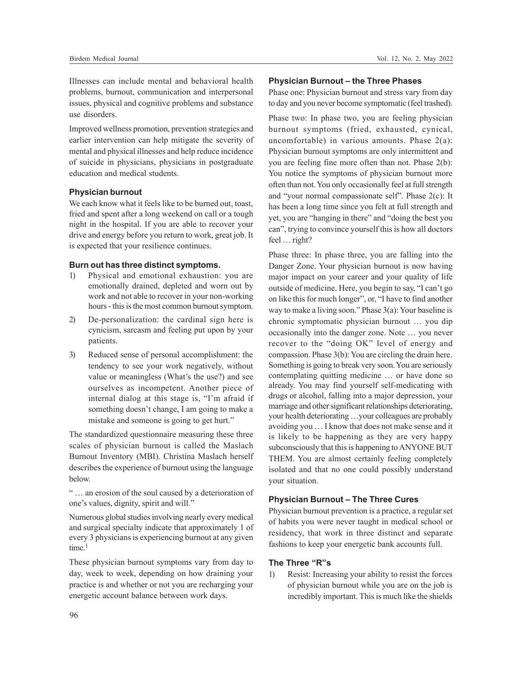Illnesses can include mental and behavioral health problems, burnout, communication and interpersonal issues, physical and cognitive problems and substance use disorders.

Improved wellness promotion, prevention strategies and earlier intervention can help mitigate the severity of mental and physical illnesses and help reduce incidence of suicide in physicians, physicians in postgraduate education and medical students.

## **Physician burnout**

We each know what it feels like to be burned out, toast, fried and spent after a long weekend on call or a tough night in the hospital. If you are able to recover your drive and energy before you return to work, great job. It is expected that your resilience continues.

#### **Burn out has three distinct symptoms.**

- 1) Physical and emotional exhaustion: you are emotionally drained, depleted and worn out by work and not able to recover in your non-working hours - this is the most common burnout symptom.
- 2) De-personalization: the cardinal sign here is cynicism, sarcasm and feeling put upon by your patients.
- 3) Reduced sense of personal accomplishment: the tendency to see your work negatively, without value or meaningless (What's the use?) and see ourselves as incompetent. Another piece of internal dialog at this stage is, "I'm afraid if something doesn't change, I am going to make a mistake and someone is going to get hurt."

The standardized questionnaire measuring these three scales of physician burnout is called the Maslach Burnout Inventory (MBI). Christina Maslach herself describes the experience of burnout using the language below.

" … an erosion of the soul caused by a deterioration of one's values, dignity, spirit and will."

Numerous global studies involving nearly every medical and surgical specialty indicate that approximately 1 of every 3 physicians is experiencing burnout at any given  $time<sup>1</sup>$ 

These physician burnout symptoms vary from day to day, week to week, depending on how draining your practice is and whether or not you are recharging your energetic account balance between work days.

#### **Physician Burnout – the Three Phases**

Phase one: Physician burnout and stress vary from day to day and you never become symptomatic (feel trashed).

Phase two: In phase two, you are feeling physician burnout symptoms (fried, exhausted, cynical, uncomfortable) in various amounts. Phase 2(a): Physician burnout symptoms are only intermittent and you are feeling fine more often than not. Phase 2(b): You notice the symptoms of physician burnout more often than not. You only occasionally feel at full strength and "your normal compassionate self". Phase 2(c): It has been a long time since you felt at full strength and yet, you are "hanging in there" and "doing the best you can", trying to convince yourself this is how all doctors feel … right?

Phase three: In phase three, you are falling into the Danger Zone. Your physician burnout is now having major impact on your career and your quality of life outside of medicine. Here, you begin to say, "I can't go on like this for much longer", or, "I have to find another way to make a living soon." Phase 3(a): Your baseline is chronic symptomatic physician burnout … you dip occasionally into the danger zone. Note … you never recover to the "doing OK" level of energy and compassion. Phase 3(b): You are circling the drain here. Something is going to break very soon. You are seriously contemplating quitting medicine … or have done so already. You may find yourself self-medicating with drugs or alcohol, falling into a major depression, your marriage and other significant relationships deteriorating, your health deteriorating …your colleagues are probably avoiding you … I know that does not make sense and it is likely to be happening as they are very happy subconsciously that this is happening to ANYONE BUT THEM. You are almost certainly feeling completely isolated and that no one could possibly understand your situation.

#### **Physician Burnout – The Three Cures**

Physician burnout prevention is a practice, a regular set of habits you were never taught in medical school or residency, that work in three distinct and separate fashions to keep your energetic bank accounts full.

# **The Three "R"s**

1) Resist: Increasing your ability to resist the forces of physician burnout while you are on the job is incredibly important. This is much like the shields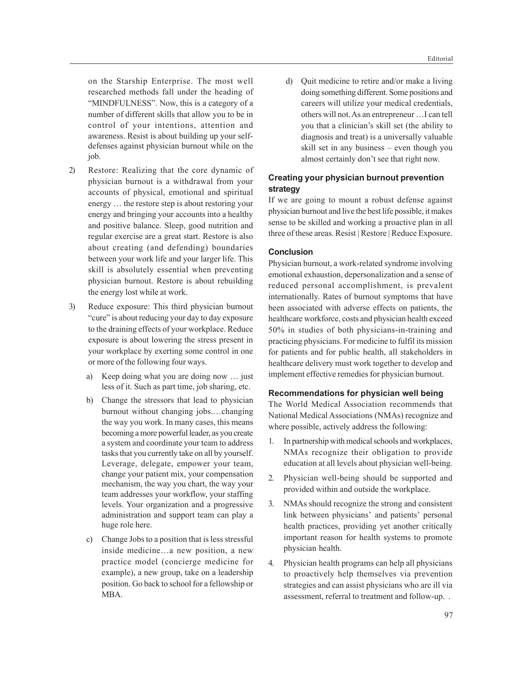on the Starship Enterprise. The most well researched methods fall under the heading of "MINDFULNESS". Now, this is a category of a number of different skills that allow you to be in control of your intentions, attention and awareness. Resist is about building up your selfdefenses against physician burnout while on the job.

- 2) Restore: Realizing that the core dynamic of physician burnout is a withdrawal from your accounts of physical, emotional and spiritual energy … the restore step is about restoring your energy and bringing your accounts into a healthy and positive balance. Sleep, good nutrition and regular exercise are a great start. Restore is also about creating (and defending) boundaries between your work life and your larger life. This skill is absolutely essential when preventing physician burnout. Restore is about rebuilding the energy lost while at work.
- 3) Reduce exposure: This third physician burnout "cure" is about reducing your day to day exposure to the draining effects of your workplace. Reduce exposure is about lowering the stress present in your workplace by exerting some control in one or more of the following four ways.
	- a) Keep doing what you are doing now … just less of it. Such as part time, job sharing, etc.
	- b) Change the stressors that lead to physician burnout without changing jobs.…changing the way you work. In many cases, this means becoming a more powerful leader, as you create a system and coordinate your team to address tasks that you currently take on all by yourself. Leverage, delegate, empower your team, change your patient mix, your compensation mechanism, the way you chart, the way your team addresses your workflow, your staffing levels. Your organization and a progressive administration and support team can play a huge role here.
	- c) Change Jobs to a position that is less stressful inside medicine…a new position, a new practice model (concierge medicine for example), a new group, take on a leadership position. Go back to school for a fellowship or MBA.

d) Quit medicine to retire and/or make a living doing something different. Some positions and careers will utilize your medical credentials, others will not. As an entrepreneur …I can tell you that a clinician's skill set (the ability to diagnosis and treat) is a universally valuable skill set in any business – even though you almost certainly don't see that right now.

# **Creating your physician burnout prevention strategy**

If we are going to mount a robust defense against physician burnout and live the best life possible, it makes sense to be skilled and working a proactive plan in all three of these areas. Resist | Restore | Reduce Exposure.

### **Conclusion**

Physician burnout, a work-related syndrome involving emotional exhaustion, depersonalization and a sense of reduced personal accomplishment, is prevalent internationally. Rates of burnout symptoms that have been associated with adverse effects on patients, the healthcare workforce, costs and physician health exceed 50% in studies of both physicians-in-training and practicing physicians. For medicine to fulfil its mission for patients and for public health, all stakeholders in healthcare delivery must work together to develop and implement effective remedies for physician burnout.

#### **Recommendations for physician well being**

The World Medical Association recommends that National Medical Associations (NMAs) recognize and where possible, actively address the following:

- 1. In partnership with medical schools and workplaces, NMAs recognize their obligation to provide education at all levels about physician well-being.
- 2. Physician well-being should be supported and provided within and outside the workplace.
- 3. NMAs should recognize the strong and consistent link between physicians' and patients' personal health practices, providing yet another critically important reason for health systems to promote physician health.
- 4. Physician health programs can help all physicians to proactively help themselves via prevention strategies and can assist physicians who are ill via assessment, referral to treatment and follow-up. .